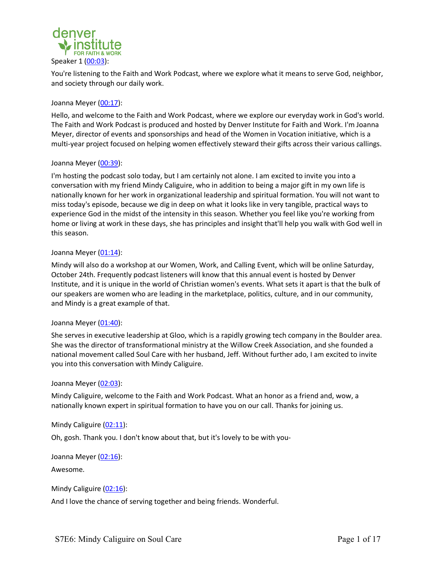

You're listening to the Faith and Work Podcast, where we explore what it means to serve God, neighbor, and society through our daily work.

## Joanna Meyer (00:17):

Hello, and welcome to the Faith and Work Podcast, where we explore our everyday work in God's world. The Faith and Work Podcast is produced and hosted by Denver Institute for Faith and Work. I'm Joanna Meyer, director of events and sponsorships and head of the Women in Vocation initiative, which is a multi-year project focused on helping women effectively steward their gifts across their various callings.

## Joanna Meyer (00:39):

I'm hosting the podcast solo today, but I am certainly not alone. I am excited to invite you into a conversation with my friend Mindy Caliguire, who in addition to being a major gift in my own life is nationally known for her work in organizational leadership and spiritual formation. You will not want to miss today's episode, because we dig in deep on what it looks like in very tangible, practical ways to experience God in the midst of the intensity in this season. Whether you feel like you're working from home or living at work in these days, she has principles and insight that'll help you walk with God well in this season.

## Joanna Meyer (01:14):

Mindy will also do a workshop at our Women, Work, and Calling Event, which will be online Saturday, October 24th. Frequently podcast listeners will know that this annual event is hosted by Denver Institute, and it is unique in the world of Christian women's events. What sets it apart is that the bulk of our speakers are women who are leading in the marketplace, politics, culture, and in our community, and Mindy is a great example of that.

# Joanna Meyer (01:40):

She serves in executive leadership at Gloo, which is a rapidly growing tech company in the Boulder area. She was the director of transformational ministry at the Willow Creek Association, and she founded a national movement called Soul Care with her husband, Jeff. Without further ado, I am excited to invite you into this conversation with Mindy Caliguire.

### Joanna Meyer (02:03):

Mindy Caliguire, welcome to the Faith and Work Podcast. What an honor as a friend and, wow, a nationally known expert in spiritual formation to have you on our call. Thanks for joining us.

### Mindy Caliguire (02:11):

Oh, gosh. Thank you. I don't know about that, but it's lovely to be with you-

# Joanna Meyer (02:16):

### Awesome.

Mindy Caliguire (02:16):

And I love the chance of serving together and being friends. Wonderful.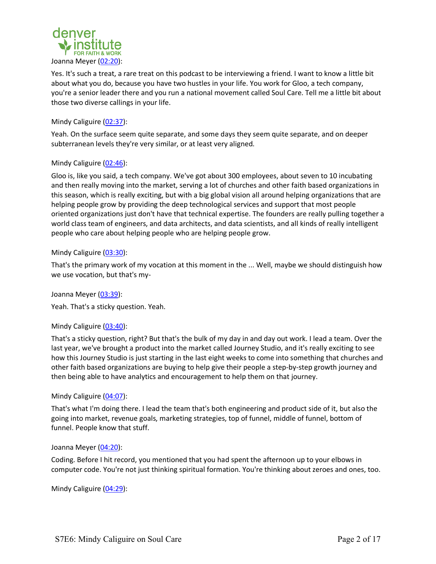

Yes. It's such a treat, a rare treat on this podcast to be interviewing a friend. I want to know a little bit about what you do, because you have two hustles in your life. You work for Gloo, a tech company, you're a senior leader there and you run a national movement called Soul Care. Tell me a little bit about those two diverse callings in your life.

# Mindy Caliguire (02:37):

Yeah. On the surface seem quite separate, and some days they seem quite separate, and on deeper subterranean levels they're very similar, or at least very aligned.

# Mindy Caliguire (02:46):

Gloo is, like you said, a tech company. We've got about 300 employees, about seven to 10 incubating and then really moving into the market, serving a lot of churches and other faith based organizations in this season, which is really exciting, but with a big global vision all around helping organizations that are helping people grow by providing the deep technological services and support that most people oriented organizations just don't have that technical expertise. The founders are really pulling together a world class team of engineers, and data architects, and data scientists, and all kinds of really intelligent people who care about helping people who are helping people grow.

## Mindy Caliguire (03:30):

That's the primary work of my vocation at this moment in the ... Well, maybe we should distinguish how we use vocation, but that's my-

Joanna Meyer (03:39):

Yeah. That's a sticky question. Yeah.

### Mindy Caliguire (03:40):

That's a sticky question, right? But that's the bulk of my day in and day out work. I lead a team. Over the last year, we've brought a product into the market called Journey Studio, and it's really exciting to see how this Journey Studio is just starting in the last eight weeks to come into something that churches and other faith based organizations are buying to help give their people a step-by-step growth journey and then being able to have analytics and encouragement to help them on that journey.

### Mindy Caliguire (04:07):

That's what I'm doing there. I lead the team that's both engineering and product side of it, but also the going into market, revenue goals, marketing strategies, top of funnel, middle of funnel, bottom of funnel. People know that stuff.

### Joanna Meyer (04:20):

Coding. Before I hit record, you mentioned that you had spent the afternoon up to your elbows in computer code. You're not just thinking spiritual formation. You're thinking about zeroes and ones, too.

Mindy Caliguire (04:29):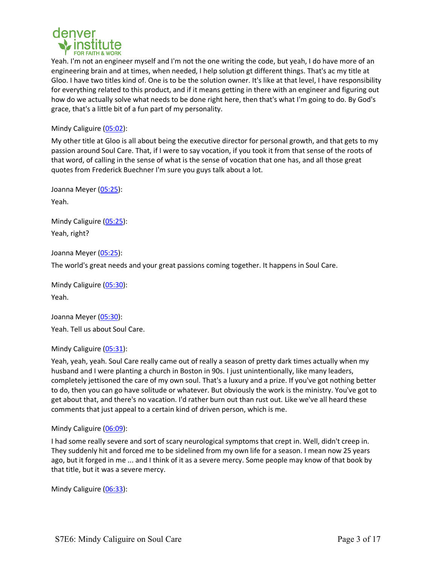

Yeah. I'm not an engineer myself and I'm not the one writing the code, but yeah, I do have more of an engineering brain and at times, when needed, I help solution gt different things. That's ac my title at Gloo. I have two titles kind of. One is to be the solution owner. It's like at that level, I have responsibility for everything related to this product, and if it means getting in there with an engineer and figuring out how do we actually solve what needs to be done right here, then that's what I'm going to do. By God's grace, that's a little bit of a fun part of my personality.

Mindy Caliguire (05:02):

My other title at Gloo is all about being the executive director for personal growth, and that gets to my passion around Soul Care. That, if I were to say vocation, if you took it from that sense of the roots of that word, of calling in the sense of what is the sense of vocation that one has, and all those great quotes from Frederick Buechner I'm sure you guys talk about a lot.

Joanna Meyer (05:25): Yeah.

Mindy Caliguire (05:25): Yeah, right?

Joanna Meyer (05:25):

The world's great needs and your great passions coming together. It happens in Soul Care.

Mindy Caliguire (05:30): Yeah.

Joanna Meyer (05:30): Yeah. Tell us about Soul Care.

# Mindy Caliguire (05:31):

Yeah, yeah, yeah. Soul Care really came out of really a season of pretty dark times actually when my husband and I were planting a church in Boston in 90s. I just unintentionally, like many leaders, completely jettisoned the care of my own soul. That's a luxury and a prize. If you've got nothing better to do, then you can go have solitude or whatever. But obviously the work is the ministry. You've got to get about that, and there's no vacation. I'd rather burn out than rust out. Like we've all heard these comments that just appeal to a certain kind of driven person, which is me.

# Mindy Caliguire (06:09):

I had some really severe and sort of scary neurological symptoms that crept in. Well, didn't creep in. They suddenly hit and forced me to be sidelined from my own life for a season. I mean now 25 years ago, but it forged in me ... and I think of it as a severe mercy. Some people may know of that book by that title, but it was a severe mercy.

Mindy Caliguire (06:33):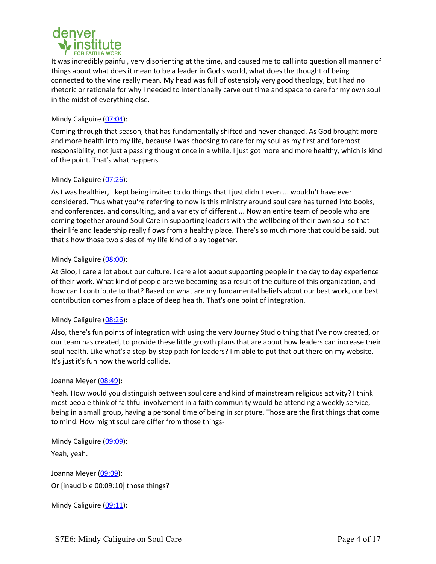

It was incredibly painful, very disorienting at the time, and caused me to call into question all manner of things about what does it mean to be a leader in God's world, what does the thought of being connected to the vine really mean. My head was full of ostensibly very good theology, but I had no rhetoric or rationale for why I needed to intentionally carve out time and space to care for my own soul in the midst of everything else.

# Mindy Caliguire (07:04):

Coming through that season, that has fundamentally shifted and never changed. As God brought more and more health into my life, because I was choosing to care for my soul as my first and foremost responsibility, not just a passing thought once in a while, I just got more and more healthy, which is kind of the point. That's what happens.

# Mindy Caliguire (07:26):

As I was healthier, I kept being invited to do things that I just didn't even ... wouldn't have ever considered. Thus what you're referring to now is this ministry around soul care has turned into books, and conferences, and consulting, and a variety of different ... Now an entire team of people who are coming together around Soul Care in supporting leaders with the wellbeing of their own soul so that their life and leadership really flows from a healthy place. There's so much more that could be said, but that's how those two sides of my life kind of play together.

# Mindy Caliguire (08:00):

At Gloo, I care a lot about our culture. I care a lot about supporting people in the day to day experience of their work. What kind of people are we becoming as a result of the culture of this organization, and how can I contribute to that? Based on what are my fundamental beliefs about our best work, our best contribution comes from a place of deep health. That's one point of integration.

# Mindy Caliguire (08:26):

Also, there's fun points of integration with using the very Journey Studio thing that I've now created, or our team has created, to provide these little growth plans that are about how leaders can increase their soul health. Like what's a step-by-step path for leaders? I'm able to put that out there on my website. It's just it's fun how the world collide.

### Joanna Meyer (08:49):

Yeah. How would you distinguish between soul care and kind of mainstream religious activity? I think most people think of faithful involvement in a faith community would be attending a weekly service, being in a small group, having a personal time of being in scripture. Those are the first things that come to mind. How might soul care differ from those things-

Mindy Caliguire (09:09):

Yeah, yeah.

Joanna Meyer (09:09): Or [inaudible 00:09:10] those things?

Mindy Caliguire (09:11):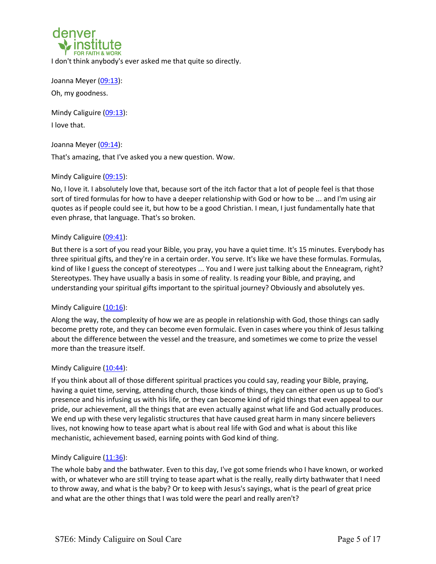

I don't think anybody's ever asked me that quite so directly.

Joanna Meyer (09:13): Oh, my goodness.

Mindy Caliguire (09:13): I love that.

Joanna Meyer (09:14):

That's amazing, that I've asked you a new question. Wow.

# Mindy Caliguire (09:15):

No, I love it. I absolutely love that, because sort of the itch factor that a lot of people feel is that those sort of tired formulas for how to have a deeper relationship with God or how to be ... and I'm using air quotes as if people could see it, but how to be a good Christian. I mean, I just fundamentally hate that even phrase, that language. That's so broken.

# Mindy Caliguire (09:41):

But there is a sort of you read your Bible, you pray, you have a quiet time. It's 15 minutes. Everybody has three spiritual gifts, and they're in a certain order. You serve. It's like we have these formulas. Formulas, kind of like I guess the concept of stereotypes ... You and I were just talking about the Enneagram, right? Stereotypes. They have usually a basis in some of reality. Is reading your Bible, and praying, and understanding your spiritual gifts important to the spiritual journey? Obviously and absolutely yes.

# Mindy Caliguire  $(10:16)$ :

Along the way, the complexity of how we are as people in relationship with God, those things can sadly become pretty rote, and they can become even formulaic. Even in cases where you think of Jesus talking about the difference between the vessel and the treasure, and sometimes we come to prize the vessel more than the treasure itself.

# Mindy Caliguire  $(10:44)$ :

If you think about all of those different spiritual practices you could say, reading your Bible, praying, having a quiet time, serving, attending church, those kinds of things, they can either open us up to God's presence and his infusing us with his life, or they can become kind of rigid things that even appeal to our pride, our achievement, all the things that are even actually against what life and God actually produces. We end up with these very legalistic structures that have caused great harm in many sincere believers lives, not knowing how to tease apart what is about real life with God and what is about this like mechanistic, achievement based, earning points with God kind of thing.

# Mindy Caliguire (11:36):

The whole baby and the bathwater. Even to this day, I've got some friends who I have known, or worked with, or whatever who are still trying to tease apart what is the really, really dirty bathwater that I need to throw away, and what is the baby? Or to keep with Jesus's sayings, what is the pearl of great price and what are the other things that I was told were the pearl and really aren't?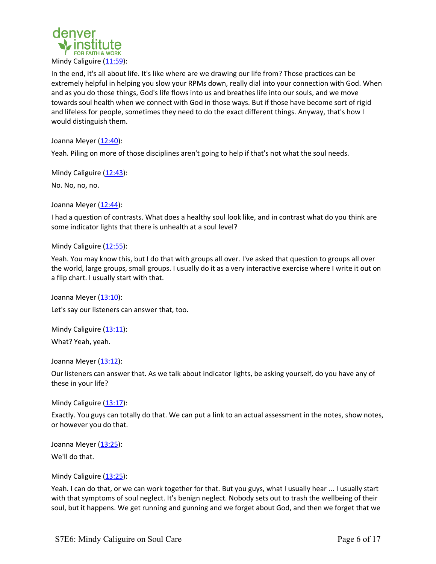

In the end, it's all about life. It's like where are we drawing our life from? Those practices can be extremely helpful in helping you slow your RPMs down, really dial into your connection with God. When and as you do those things, God's life flows into us and breathes life into our souls, and we move towards soul health when we connect with God in those ways. But if those have become sort of rigid and lifeless for people, sometimes they need to do the exact different things. Anyway, that's how I would distinguish them.

Joanna Meyer (12:40):

Yeah. Piling on more of those disciplines aren't going to help if that's not what the soul needs.

Mindy Caliguire (12:43):

No. No, no, no.

Joanna Meyer (12:44):

I had a question of contrasts. What does a healthy soul look like, and in contrast what do you think are some indicator lights that there is unhealth at a soul level?

Mindy Caliguire (12:55):

Yeah. You may know this, but I do that with groups all over. I've asked that question to groups all over the world, large groups, small groups. I usually do it as a very interactive exercise where I write it out on a flip chart. I usually start with that.

Joanna Meyer (13:10): Let's say our listeners can answer that, too.

Mindy Caliguire (13:11):

What? Yeah, yeah.

Joanna Meyer (13:12):

Our listeners can answer that. As we talk about indicator lights, be asking yourself, do you have any of these in your life?

Mindy Caliguire  $(13:17)$ :

Exactly. You guys can totally do that. We can put a link to an actual assessment in the notes, show notes, or however you do that.

Joanna Meyer (13:25):

We'll do that.

Mindy Caliguire (13:25):

Yeah. I can do that, or we can work together for that. But you guys, what I usually hear ... I usually start with that symptoms of soul neglect. It's benign neglect. Nobody sets out to trash the wellbeing of their soul, but it happens. We get running and gunning and we forget about God, and then we forget that we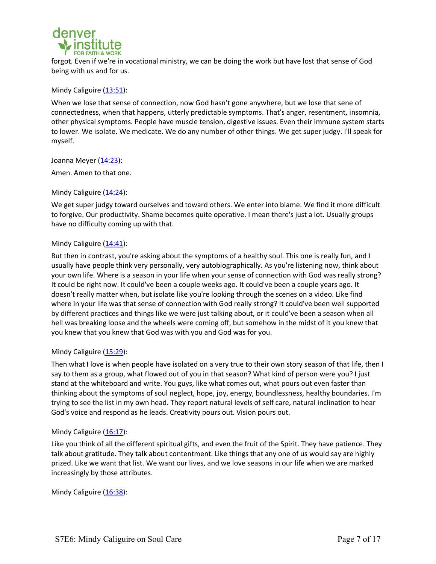

forgot. Even if we're in vocational ministry, we can be doing the work but have lost that sense of God being with us and for us.

Mindy Caliguire (13:51):

When we lose that sense of connection, now God hasn't gone anywhere, but we lose that sene of connectedness, when that happens, utterly predictable symptoms. That's anger, resentment, insomnia, other physical symptoms. People have muscle tension, digestive issues. Even their immune system starts to lower. We isolate. We medicate. We do any number of other things. We get super judgy. I'll speak for myself.

Joanna Meyer (14:23):

Amen. Amen to that one.

Mindy Caliguire (14:24):

We get super judgy toward ourselves and toward others. We enter into blame. We find it more difficult to forgive. Our productivity. Shame becomes quite operative. I mean there's just a lot. Usually groups have no difficulty coming up with that.

# Mindy Caliguire (14:41):

But then in contrast, you're asking about the symptoms of a healthy soul. This one is really fun, and I usually have people think very personally, very autobiographically. As you're listening now, think about your own life. Where is a season in your life when your sense of connection with God was really strong? It could be right now. It could've been a couple weeks ago. It could've been a couple years ago. It doesn't really matter when, but isolate like you're looking through the scenes on a video. Like find where in your life was that sense of connection with God really strong? It could've been well supported by different practices and things like we were just talking about, or it could've been a season when all hell was breaking loose and the wheels were coming off, but somehow in the midst of it you knew that you knew that you knew that God was with you and God was for you.

# Mindy Caliguire (15:29):

Then what I love is when people have isolated on a very true to their own story season of that life, then I say to them as a group, what flowed out of you in that season? What kind of person were you? I just stand at the whiteboard and write. You guys, like what comes out, what pours out even faster than thinking about the symptoms of soul neglect, hope, joy, energy, boundlessness, healthy boundaries. I'm trying to see the list in my own head. They report natural levels of self care, natural inclination to hear God's voice and respond as he leads. Creativity pours out. Vision pours out.

### Mindy Caliguire  $(16:17)$ :

Like you think of all the different spiritual gifts, and even the fruit of the Spirit. They have patience. They talk about gratitude. They talk about contentment. Like things that any one of us would say are highly prized. Like we want that list. We want our lives, and we love seasons in our life when we are marked increasingly by those attributes.

Mindy Caliguire (16:38):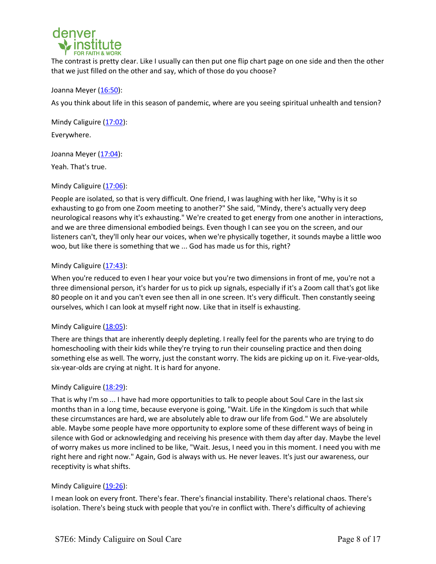

The contrast is pretty clear. Like I usually can then put one flip chart page on one side and then the other that we just filled on the other and say, which of those do you choose?

## Joanna Meyer (16:50):

As you think about life in this season of pandemic, where are you seeing spiritual unhealth and tension?

Mindy Caliguire (17:02): Everywhere.

Joanna Meyer (17:04):

Yeah. That's true.

## Mindy Caliguire (17:06):

People are isolated, so that is very difficult. One friend, I was laughing with her like, "Why is it so exhausting to go from one Zoom meeting to another?" She said, "Mindy, there's actually very deep neurological reasons why it's exhausting." We're created to get energy from one another in interactions, and we are three dimensional embodied beings. Even though I can see you on the screen, and our listeners can't, they'll only hear our voices, when we're physically together, it sounds maybe a little woo woo, but like there is something that we ... God has made us for this, right?

## Mindy Caliguire (17:43):

When you're reduced to even I hear your voice but you're two dimensions in front of me, you're not a three dimensional person, it's harder for us to pick up signals, especially if it's a Zoom call that's got like 80 people on it and you can't even see then all in one screen. It's very difficult. Then constantly seeing ourselves, which I can look at myself right now. Like that in itself is exhausting.

# Mindy Caliguire (18:05):

There are things that are inherently deeply depleting. I really feel for the parents who are trying to do homeschooling with their kids while they're trying to run their counseling practice and then doing something else as well. The worry, just the constant worry. The kids are picking up on it. Five-year-olds, six-year-olds are crying at night. It is hard for anyone.

# Mindy Caliguire (18:29):

That is why I'm so ... I have had more opportunities to talk to people about Soul Care in the last six months than in a long time, because everyone is going, "Wait. Life in the Kingdom is such that while these circumstances are hard, we are absolutely able to draw our life from God." We are absolutely able. Maybe some people have more opportunity to explore some of these different ways of being in silence with God or acknowledging and receiving his presence with them day after day. Maybe the level of worry makes us more inclined to be like, "Wait. Jesus, I need you in this moment. I need you with me right here and right now." Again, God is always with us. He never leaves. It's just our awareness, our receptivity is what shifts.

# Mindy Caliguire (19:26):

I mean look on every front. There's fear. There's financial instability. There's relational chaos. There's isolation. There's being stuck with people that you're in conflict with. There's difficulty of achieving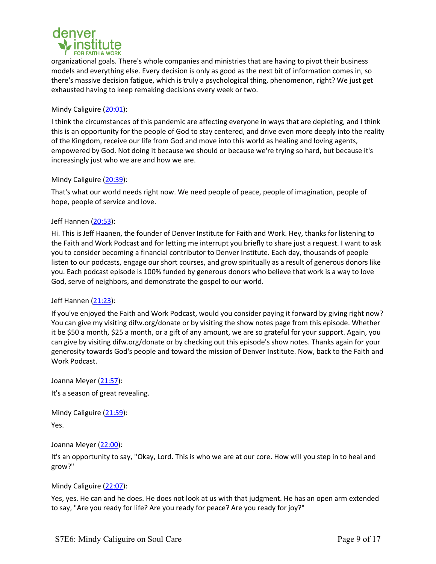

organizational goals. There's whole companies and ministries that are having to pivot their business models and everything else. Every decision is only as good as the next bit of information comes in, so there's massive decision fatigue, which is truly a psychological thing, phenomenon, right? We just get exhausted having to keep remaking decisions every week or two.

# Mindy Caliguire (20:01):

I think the circumstances of this pandemic are affecting everyone in ways that are depleting, and I think this is an opportunity for the people of God to stay centered, and drive even more deeply into the reality of the Kingdom, receive our life from God and move into this world as healing and loving agents, empowered by God. Not doing it because we should or because we're trying so hard, but because it's increasingly just who we are and how we are.

# Mindy Caliguire (20:39):

That's what our world needs right now. We need people of peace, people of imagination, people of hope, people of service and love.

# Jeff Hannen (20:53):

Hi. This is Jeff Haanen, the founder of Denver Institute for Faith and Work. Hey, thanks for listening to the Faith and Work Podcast and for letting me interrupt you briefly to share just a request. I want to ask you to consider becoming a financial contributor to Denver Institute. Each day, thousands of people listen to our podcasts, engage our short courses, and grow spiritually as a result of generous donors like you. Each podcast episode is 100% funded by generous donors who believe that work is a way to love God, serve of neighbors, and demonstrate the gospel to our world.

# Jeff Hannen (21:23):

If you've enjoyed the Faith and Work Podcast, would you consider paying it forward by giving right now? You can give my visiting difw.org/donate or by visiting the show notes page from this episode. Whether it be \$50 a month, \$25 a month, or a gift of any amount, we are so grateful for your support. Again, you can give by visiting difw.org/donate or by checking out this episode's show notes. Thanks again for your generosity towards God's people and toward the mission of Denver Institute. Now, back to the Faith and Work Podcast.

Joanna Meyer (21:57):

It's a season of great revealing.

Mindy Caliguire (21:59): Yes.

Joanna Meyer (22:00):

It's an opportunity to say, "Okay, Lord. This is who we are at our core. How will you step in to heal and grow?"

# Mindy Caliguire (22:07):

Yes, yes. He can and he does. He does not look at us with that judgment. He has an open arm extended to say, "Are you ready for life? Are you ready for peace? Are you ready for joy?"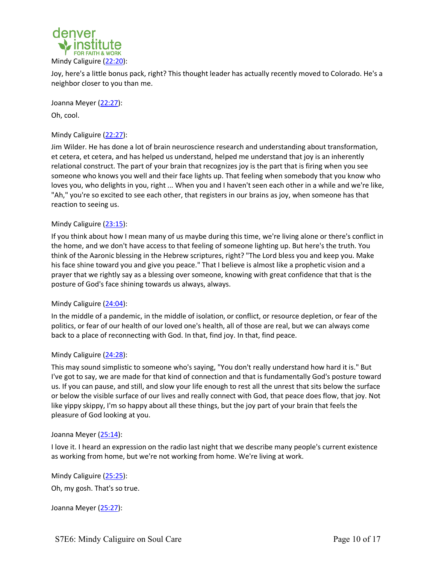

Joy, here's a little bonus pack, right? This thought leader has actually recently moved to Colorado. He's a neighbor closer to you than me.

Joanna Meyer (22:27): Oh, cool.

# Mindy Caliguire (22:27):

Jim Wilder. He has done a lot of brain neuroscience research and understanding about transformation, et cetera, et cetera, and has helped us understand, helped me understand that joy is an inherently relational construct. The part of your brain that recognizes joy is the part that is firing when you see someone who knows you well and their face lights up. That feeling when somebody that you know who loves you, who delights in you, right ... When you and I haven't seen each other in a while and we're like, "Ah," you're so excited to see each other, that registers in our brains as joy, when someone has that reaction to seeing us.

# Mindy Caliguire (23:15):

If you think about how I mean many of us maybe during this time, we're living alone or there's conflict in the home, and we don't have access to that feeling of someone lighting up. But here's the truth. You think of the Aaronic blessing in the Hebrew scriptures, right? "The Lord bless you and keep you. Make his face shine toward you and give you peace." That I believe is almost like a prophetic vision and a prayer that we rightly say as a blessing over someone, knowing with great confidence that that is the posture of God's face shining towards us always, always.

### Mindy Caliguire (24:04):

In the middle of a pandemic, in the middle of isolation, or conflict, or resource depletion, or fear of the politics, or fear of our health of our loved one's health, all of those are real, but we can always come back to a place of reconnecting with God. In that, find joy. In that, find peace.

### Mindy Caliguire (24:28):

This may sound simplistic to someone who's saying, "You don't really understand how hard it is." But I've got to say, we are made for that kind of connection and that is fundamentally God's posture toward us. If you can pause, and still, and slow your life enough to rest all the unrest that sits below the surface or below the visible surface of our lives and really connect with God, that peace does flow, that joy. Not like yippy skippy, I'm so happy about all these things, but the joy part of your brain that feels the pleasure of God looking at you.

### Joanna Meyer (25:14):

I love it. I heard an expression on the radio last night that we describe many people's current existence as working from home, but we're not working from home. We're living at work.

Mindy Caliguire (25:25): Oh, my gosh. That's so true.

Joanna Meyer (25:27):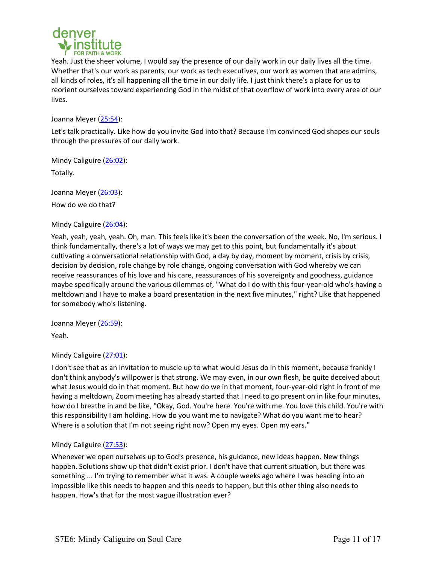

Yeah. Just the sheer volume, I would say the presence of our daily work in our daily lives all the time. Whether that's our work as parents, our work as tech executives, our work as women that are admins, all kinds of roles, it's all happening all the time in our daily life. I just think there's a place for us to reorient ourselves toward experiencing God in the midst of that overflow of work into every area of our lives.

Joanna Meyer (25:54):

Let's talk practically. Like how do you invite God into that? Because I'm convinced God shapes our souls through the pressures of our daily work.

Mindy Caliguire (26:02):

Totally.

Joanna Meyer (26:03): How do we do that?

# Mindy Caliguire (26:04):

Yeah, yeah, yeah, yeah. Oh, man. This feels like it's been the conversation of the week. No, I'm serious. I think fundamentally, there's a lot of ways we may get to this point, but fundamentally it's about cultivating a conversational relationship with God, a day by day, moment by moment, crisis by crisis, decision by decision, role change by role change, ongoing conversation with God whereby we can receive reassurances of his love and his care, reassurances of his sovereignty and goodness, guidance maybe specifically around the various dilemmas of, "What do I do with this four-year-old who's having a meltdown and I have to make a board presentation in the next five minutes," right? Like that happened for somebody who's listening.

Joanna Meyer (26:59):

Yeah.

# Mindy Caliguire (27:01):

I don't see that as an invitation to muscle up to what would Jesus do in this moment, because frankly I don't think anybody's willpower is that strong. We may even, in our own flesh, be quite deceived about what Jesus would do in that moment. But how do we in that moment, four-year-old right in front of me having a meltdown, Zoom meeting has already started that I need to go present on in like four minutes, how do I breathe in and be like, "Okay, God. You're here. You're with me. You love this child. You're with this responsibility I am holding. How do you want me to navigate? What do you want me to hear? Where is a solution that I'm not seeing right now? Open my eyes. Open my ears."

# Mindy Caliguire (27:53):

Whenever we open ourselves up to God's presence, his guidance, new ideas happen. New things happen. Solutions show up that didn't exist prior. I don't have that current situation, but there was something ... I'm trying to remember what it was. A couple weeks ago where I was heading into an impossible like this needs to happen and this needs to happen, but this other thing also needs to happen. How's that for the most vague illustration ever?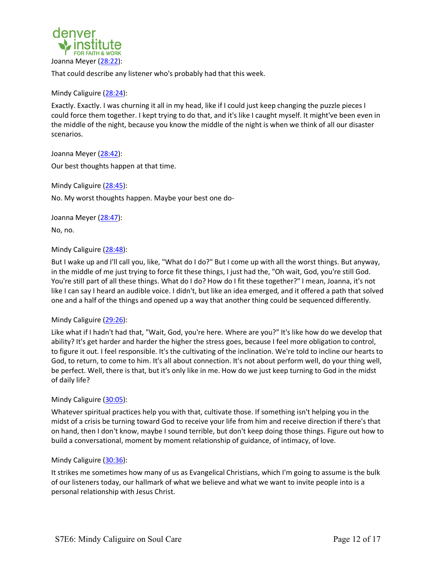

That could describe any listener who's probably had that this week.

### Mindy Caliguire (28:24):

Exactly. Exactly. I was churning it all in my head, like if I could just keep changing the puzzle pieces I could force them together. I kept trying to do that, and it's like I caught myself. It might've been even in the middle of the night, because you know the middle of the night is when we think of all our disaster scenarios.

Joanna Meyer (28:42):

Our best thoughts happen at that time.

Mindy Caliguire (28:45):

No. My worst thoughts happen. Maybe your best one do-

Joanna Meyer (28:47):

No, no.

## Mindy Caliguire (28:48):

But I wake up and I'll call you, like, "What do I do?" But I come up with all the worst things. But anyway, in the middle of me just trying to force fit these things, I just had the, "Oh wait, God, you're still God. You're still part of all these things. What do I do? How do I fit these together?" I mean, Joanna, it's not like I can say I heard an audible voice. I didn't, but like an idea emerged, and it offered a path that solved one and a half of the things and opened up a way that another thing could be sequenced differently.

### Mindy Caliguire (29:26):

Like what if I hadn't had that, "Wait, God, you're here. Where are you?" It's like how do we develop that ability? It's get harder and harder the higher the stress goes, because I feel more obligation to control, to figure it out. I feel responsible. It's the cultivating of the inclination. We're told to incline our hearts to God, to return, to come to him. It's all about connection. It's not about perform well, do your thing well, be perfect. Well, there is that, but it's only like in me. How do we just keep turning to God in the midst of daily life?

### Mindy Caliguire (30:05):

Whatever spiritual practices help you with that, cultivate those. If something isn't helping you in the midst of a crisis be turning toward God to receive your life from him and receive direction if there's that on hand, then I don't know, maybe I sound terrible, but don't keep doing those things. Figure out how to build a conversational, moment by moment relationship of guidance, of intimacy, of love.

### Mindy Caliguire (30:36):

It strikes me sometimes how many of us as Evangelical Christians, which I'm going to assume is the bulk of our listeners today, our hallmark of what we believe and what we want to invite people into is a personal relationship with Jesus Christ.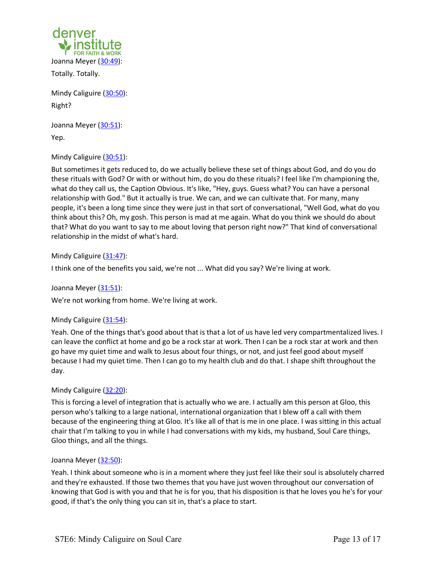

Totally. Totally.

Mindy Caliguire (30:50): Right?

Joanna Meyer (30:51): Yep.

Mindy Caliguire (30:51):

But sometimes it gets reduced to, do we actually believe these set of things about God, and do you do these rituals with God? Or with or without him, do you do these rituals? I feel like I'm championing the, what do they call us, the Caption Obvious. It's like, "Hey, guys. Guess what? You can have a personal relationship with God." But it actually is true. We can, and we can cultivate that. For many, many people, it's been a long time since they were just in that sort of conversational, "Well God, what do you think about this? Oh, my gosh. This person is mad at me again. What do you think we should do about that? What do you want to say to me about loving that person right now?" That kind of conversational relationship in the midst of what's hard.

Mindy Caliguire (31:47):

I think one of the benefits you said, we're not ... What did you say? We're living at work.

Joanna Meyer (31:51):

We're not working from home. We're living at work.

# Mindy Caliguire (31:54):

Yeah. One of the things that's good about that is that a lot of us have led very compartmentalized lives. I can leave the conflict at home and go be a rock star at work. Then I can be a rock star at work and then go have my quiet time and walk to Jesus about four things, or not, and just feel good about myself because I had my quiet time. Then I can go to my health club and do that. I shape shift throughout the day.

# Mindy Caliguire (32:20):

This is forcing a level of integration that is actually who we are. I actually am this person at Gloo, this person who's talking to a large national, international organization that I blew off a call with them because of the engineering thing at Gloo. It's like all of that is me in one place. I was sitting in this actual chair that I'm talking to you in while I had conversations with my kids, my husband, Soul Care things, Gloo things, and all the things.

### Joanna Meyer (32:50):

Yeah. I think about someone who is in a moment where they just feel like their soul is absolutely charred and they're exhausted. If those two themes that you have just woven throughout our conversation of knowing that God is with you and that he is for you, that his disposition is that he loves you he's for your good, if that's the only thing you can sit in, that's a place to start.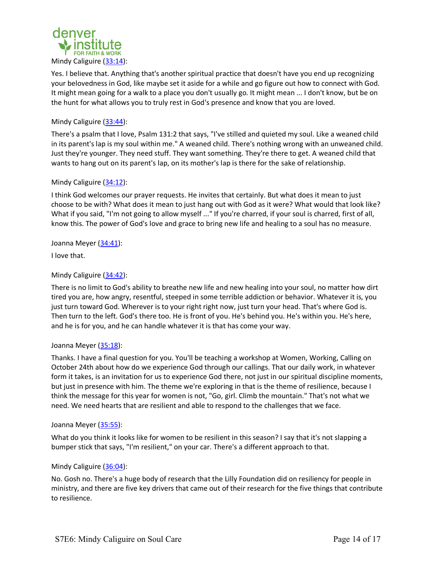

Yes. I believe that. Anything that's another spiritual practice that doesn't have you end up recognizing your belovedness in God, like maybe set it aside for a while and go figure out how to connect with God. It might mean going for a walk to a place you don't usually go. It might mean ... I don't know, but be on the hunt for what allows you to truly rest in God's presence and know that you are loved.

# Mindy Caliguire (33:44):

There's a psalm that I love, Psalm 131:2 that says, "I've stilled and quieted my soul. Like a weaned child in its parent's lap is my soul within me." A weaned child. There's nothing wrong with an unweaned child. Just they're younger. They need stuff. They want something. They're there to get. A weaned child that wants to hang out on its parent's lap, on its mother's lap is there for the sake of relationship.

### Mindy Caliguire (34:12):

I think God welcomes our prayer requests. He invites that certainly. But what does it mean to just choose to be with? What does it mean to just hang out with God as it were? What would that look like? What if you said, "I'm not going to allow myself ..." If you're charred, if your soul is charred, first of all, know this. The power of God's love and grace to bring new life and healing to a soul has no measure.

### Joanna Meyer (34:41):

I love that.

### Mindy Caliguire (34:42):

There is no limit to God's ability to breathe new life and new healing into your soul, no matter how dirt tired you are, how angry, resentful, steeped in some terrible addiction or behavior. Whatever it is, you just turn toward God. Wherever is to your right right now, just turn your head. That's where God is. Then turn to the left. God's there too. He is front of you. He's behind you. He's within you. He's here, and he is for you, and he can handle whatever it is that has come your way.

### Joanna Meyer (35:18):

Thanks. I have a final question for you. You'll be teaching a workshop at Women, Working, Calling on October 24th about how do we experience God through our callings. That our daily work, in whatever form it takes, is an invitation for us to experience God there, not just in our spiritual discipline moments, but just in presence with him. The theme we're exploring in that is the theme of resilience, because I think the message for this year for women is not, "Go, girl. Climb the mountain." That's not what we need. We need hearts that are resilient and able to respond to the challenges that we face.

#### Joanna Meyer (35:55):

What do you think it looks like for women to be resilient in this season? I say that it's not slapping a bumper stick that says, "I'm resilient," on your car. There's a different approach to that.

### Mindy Caliguire (36:04):

No. Gosh no. There's a huge body of research that the Lilly Foundation did on resiliency for people in ministry, and there are five key drivers that came out of their research for the five things that contribute to resilience.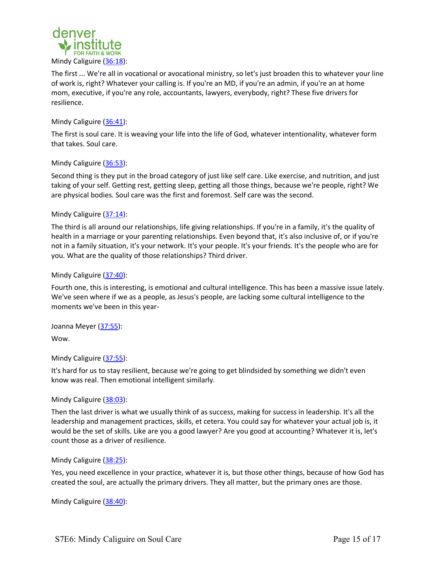

The first ... We're all in vocational or avocational ministry, so let's just broaden this to whatever your line of work is, right? Whatever your calling is. If you're an MD, if you're an admin, if you're an at home mom, executive, if you're any role, accountants, lawyers, everybody, right? These five drivers for resilience.

# Mindy Caliguire (36:41):

The first is soul care. It is weaving your life into the life of God, whatever intentionality, whatever form that takes. Soul care.

# Mindy Caliguire (36:53):

Second thing is they put in the broad category of just like self care. Like exercise, and nutrition, and just taking of your self. Getting rest, getting sleep, getting all those things, because we're people, right? We are physical bodies. Soul care was the first and foremost. Self care was the second.

## Mindy Caliguire (37:14):

The third is all around our relationships, life giving relationships. If you're in a family, it's the quality of health in a marriage or your parenting relationships. Even beyond that, it's also inclusive of, or if you're not in a family situation, it's your network. It's your people. It's your friends. It's the people who are for you. What are the quality of those relationships? Third driver.

## Mindy Caliguire (37:40):

Fourth one, this is interesting, is emotional and cultural intelligence. This has been a massive issue lately. We've seen where if we as a people, as Jesus's people, are lacking some cultural intelligence to the moments we've been in this year-

Joanna Meyer (37:55):

Wow.

# Mindy Caliguire (37:55):

It's hard for us to stay resilient, because we're going to get blindsided by something we didn't even know was real. Then emotional intelligent similarly.

### Mindy Caliguire (38:03):

Then the last driver is what we usually think of as success, making for success in leadership. It's all the leadership and management practices, skills, et cetera. You could say for whatever your actual job is, it would be the set of skills. Like are you a good lawyer? Are you good at accounting? Whatever it is, let's count those as a driver of resilience.

### Mindy Caliguire (38:25):

Yes, you need excellence in your practice, whatever it is, but those other things, because of how God has created the soul, are actually the primary drivers. They all matter, but the primary ones are those.

Mindy Caliguire (38:40):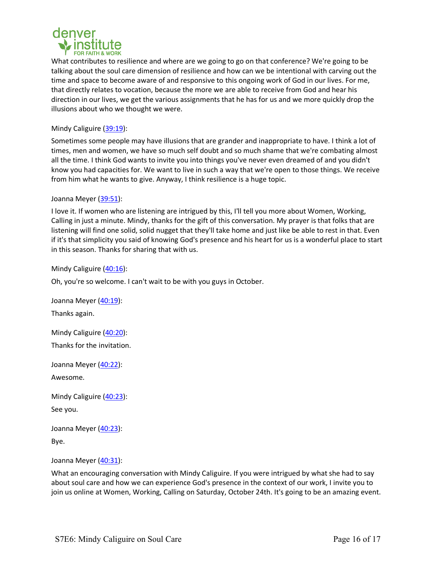

What contributes to resilience and where are we going to go on that conference? We're going to be talking about the soul care dimension of resilience and how can we be intentional with carving out the time and space to become aware of and responsive to this ongoing work of God in our lives. For me, that directly relates to vocation, because the more we are able to receive from God and hear his direction in our lives, we get the various assignments that he has for us and we more quickly drop the illusions about who we thought we were.

# Mindy Caliguire (39:19):

Sometimes some people may have illusions that are grander and inappropriate to have. I think a lot of times, men and women, we have so much self doubt and so much shame that we're combating almost all the time. I think God wants to invite you into things you've never even dreamed of and you didn't know you had capacities for. We want to live in such a way that we're open to those things. We receive from him what he wants to give. Anyway, I think resilience is a huge topic.

# Joanna Meyer (39:51):

I love it. If women who are listening are intrigued by this, I'll tell you more about Women, Working, Calling in just a minute. Mindy, thanks for the gift of this conversation. My prayer is that folks that are listening will find one solid, solid nugget that they'll take home and just like be able to rest in that. Even if it's that simplicity you said of knowing God's presence and his heart for us is a wonderful place to start in this season. Thanks for sharing that with us.

Mindy Caliguire (40:16):

Oh, you're so welcome. I can't wait to be with you guys in October.

Joanna Meyer (40:19): Thanks again.

Mindy Caliguire (40:20): Thanks for the invitation.

Joanna Meyer (40:22): Awesome.

Mindy Caliguire (40:23):

See you.

Joanna Meyer (40:23): Bye.

Joanna Meyer (40:31):

What an encouraging conversation with Mindy Caliguire. If you were intrigued by what she had to say about soul care and how we can experience God's presence in the context of our work, I invite you to join us online at Women, Working, Calling on Saturday, October 24th. It's going to be an amazing event.